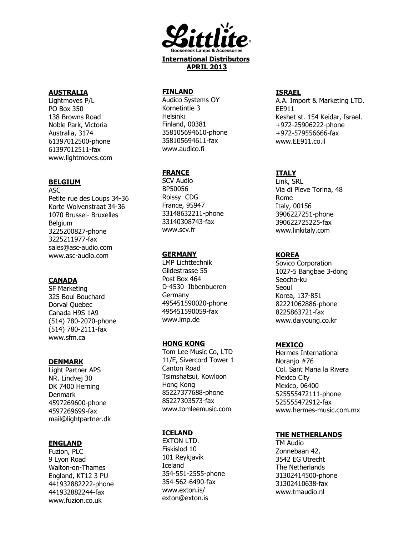

### AUSTRALIA

Lightmoves P/L PO Box 350 138 Browns Road Noble Park, Victoria Australia, 3174 61397012500-phone 61397012511-fax www.lightmoves.com

# BELGIUM

ASC Petite rue des Loups 34-36 Korte Wolvenstraat 34-36 1070 Brussel- Bruxelles **Belgium** 3225200827-phone 3225211977-fax sales@asc-audio.com www.asc-audio.com

### CANADA

SF Marketing 325 Boul Bouchard Dorval Quebec Canada H9S 1A9 (514) 780-2070-phone (514) 780-2111-fax www.sfm.ca

#### DENMARK

Light Partner APS NR. Lindvej 30 DK 7400 Herning Denmark 4597269600-phone 4597269699-fax mail@lightpartner.dk

### ENGLAND

Fuzion, PLC 9 Lyon Road Walton-on-Thames England, KT12 3 PU 441932882222-phone 441932882244-fax www.fuzion.co.uk

### FINLAND

Audico Systems OY Kornetintie 3 Helsinki Finland, 00381 358105694610-phone 358105694611-fax www.audico.fi

### **FRANCE**

SCV Audio BP50056 Roissy CDG France, 95947 33148632211-phone 33140308743-fax www.scv.fr

#### **GERMANY**

LMP Lichttechnik Gildestrasse 55 Post Box 464 D-4530 Ibbenbueren Germany 495451590020-phone 495451590059-fax www.lmp.de

#### HONG KONG

Tom Lee Music Co, LTD 11/F, Sivercord Tower 1 Canton Road Tsimshatsui, Kowloon Hong Kong 85227377688-phone 85227303573-fax www.tomleemusic.com

### **ICELAND**

EXTON LTD. Fiskislod 10 101 Reykjavík Iceland 354-551-2555-phone 354-562-6490-fax www.exton.is/ exton@exton.is

#### ISRAEL

A.A. Import & Marketing LTD. EE911 Keshet st. 154 Keidar, Israel. +972-25906222-phone +972-579556666-fax www.EE911.co.il

# ITALY

Link, SRL Via di Pieve Torina, 48 Rome Italy, 00156 3906227251-phone 390622725225-fax www.linkitaly.com

### KOREA

Sovico Corporation 1027-5 Bangbae 3-dong Seocho-ku Seoul Korea, 137-851 82221062886-phone 8225863721-fax www.daiyoung.co.kr

### **MEXICO**

Hermes International Noranio #76 Col. Sant Maria la Rivera Mexico City Mexico, 06400 525555472111-phone 525555472912-fax www.hermes-music.com.mx

### THE NETHERLANDS

TM Audio Zonnebaan 42, 3542 EG Utrecht The Netherlands 31302414500-phone 31302410638-fax www.tmaudio.nl